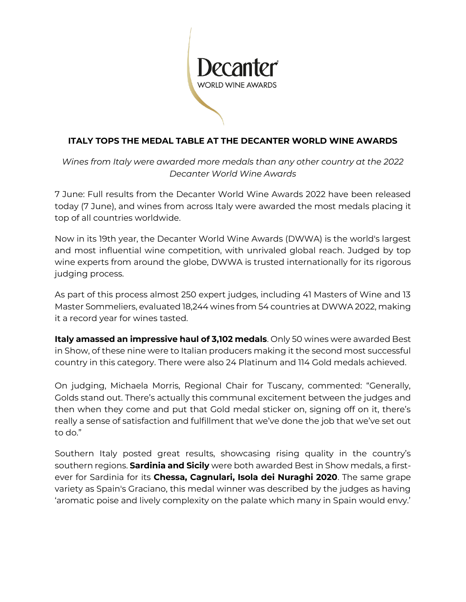

# **ITALY TOPS THE MEDAL TABLE AT THE DECANTER WORLD WINE AWARDS**

*Wines from Italy were awarded more medals than any other country at the 2022 Decanter World Wine Awards* 

7 June: Full results from the Decanter World Wine Awards 2022 have been released today (7 June), and wines from across Italy were awarded the most medals placing it top of all countries worldwide.

Now in its 19th year, the Decanter World Wine Awards (DWWA) is the world's largest and most influential wine competition, with unrivaled global reach. Judged by top wine experts from around the globe, DWWA is trusted internationally for its rigorous judging process.

As part of this process almost 250 expert judges, including 41 Masters of Wine and 13 Master Sommeliers, evaluated 18,244 wines from 54 countries at DWWA 2022, making it a record year for wines tasted.

**Italy amassed an impressive haul of 3,102 medals**. Only 50 wines were awarded Best in Show, of these nine were to Italian producers making it the second most successful country in this category. There were also 24 Platinum and 114 Gold medals achieved.

On judging, Michaela Morris, Regional Chair for Tuscany, commented: "Generally, Golds stand out. There's actually this communal excitement between the judges and then when they come and put that Gold medal sticker on, signing off on it, there's really a sense of satisfaction and fulfillment that we've done the job that we've set out to do."

Southern Italy posted great results, showcasing rising quality in the country's southern regions. **Sardinia and Sicily** were both awarded Best in Show medals, a firstever for Sardinia for its **Chessa, Cagnulari, Isola dei Nuraghi 2020**. The same grape variety as Spain's Graciano, this medal winner was described by the judges as having 'aromatic poise and lively complexity on the palate which many in Spain would envy.'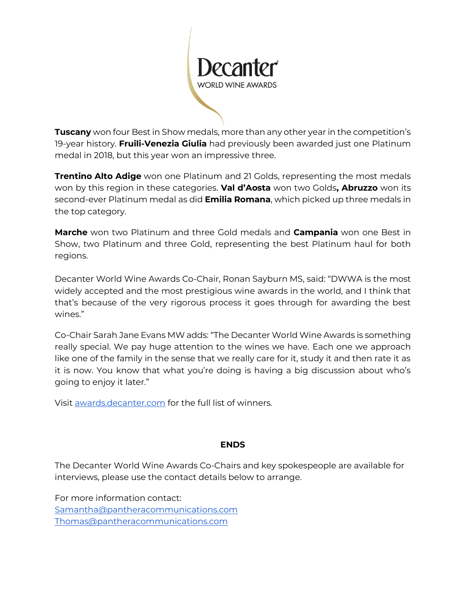

**Tuscany** won four Best in Show medals, more than any other year in the competition's 19-year history. **Fruili-Venezia Giulia** had previously been awarded just one Platinum medal in 2018, but this year won an impressive three.

**Trentino Alto Adige** won one Platinum and 21 Golds, representing the most medals won by this region in these categories. **Val d'Aosta** won two Golds**, Abruzzo** won its second-ever Platinum medal as did **Emilia Romana**, which picked up three medals in the top category.

**Marche** won two Platinum and three Gold medals and **Campania** won one Best in Show, two Platinum and three Gold, representing the best Platinum haul for both regions.

Decanter World Wine Awards Co-Chair, Ronan Sayburn MS, said: "DWWA is the most widely accepted and the most prestigious wine awards in the world, and I think that that's because of the very rigorous process it goes through for awarding the best wines."

Co-Chair Sarah Jane Evans MW adds: "The Decanter World Wine Awards is something really special. We pay huge attention to the wines we have. Each one we approach like one of the family in the sense that we really care for it, study it and then rate it as it is now. You know that what you're doing is having a big discussion about who's going to enjoy it later."

Visit [awards.decanter.com](http://awards.decanter.com/) for the full list of winners.

### **ENDS**

The Decanter World Wine Awards Co-Chairs and key spokespeople are available for interviews, please use the contact details below to arrange.

For more information contact: [Samantha@pantheracommunications.com](mailto:Samantha@pantheracommunications.com) [Thomas@pantheracommunications.com](mailto:Thomas@pantheracommunications.com)